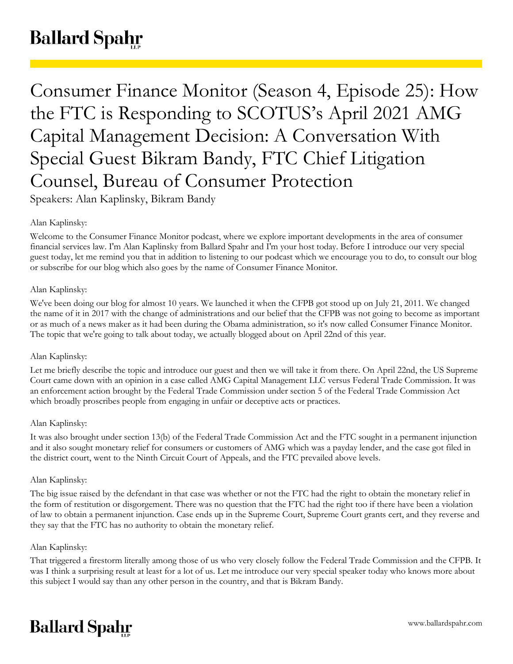# **Ballard Spahr**

Consumer Finance Monitor (Season 4, Episode 25): How the FTC is Responding to SCOTUS's April 2021 AMG Capital Management Decision: A Conversation With Special Guest Bikram Bandy, FTC Chief Litigation Counsel, Bureau of Consumer Protection Speakers: Alan Kaplinsky, Bikram Bandy

## Alan Kaplinsky:

Welcome to the Consumer Finance Monitor podcast, where we explore important developments in the area of consumer financial services law. I'm Alan Kaplinsky from Ballard Spahr and I'm your host today. Before I introduce our very special guest today, let me remind you that in addition to listening to our podcast which we encourage you to do, to consult our blog or subscribe for our blog which also goes by the name of Consumer Finance Monitor.

## Alan Kaplinsky:

We've been doing our blog for almost 10 years. We launched it when the CFPB got stood up on July 21, 2011. We changed the name of it in 2017 with the change of administrations and our belief that the CFPB was not going to become as important or as much of a news maker as it had been during the Obama administration, so it's now called Consumer Finance Monitor. The topic that we're going to talk about today, we actually blogged about on April 22nd of this year.

#### Alan Kaplinsky:

Let me briefly describe the topic and introduce our guest and then we will take it from there. On April 22nd, the US Supreme Court came down with an opinion in a case called AMG Capital Management LLC versus Federal Trade Commission. It was an enforcement action brought by the Federal Trade Commission under section 5 of the Federal Trade Commission Act which broadly proscribes people from engaging in unfair or deceptive acts or practices.

## Alan Kaplinsky:

It was also brought under section 13(b) of the Federal Trade Commission Act and the FTC sought in a permanent injunction and it also sought monetary relief for consumers or customers of AMG which was a payday lender, and the case got filed in the district court, went to the Ninth Circuit Court of Appeals, and the FTC prevailed above levels.

#### Alan Kaplinsky:

The big issue raised by the defendant in that case was whether or not the FTC had the right to obtain the monetary relief in the form of restitution or disgorgement. There was no question that the FTC had the right too if there have been a violation of law to obtain a permanent injunction. Case ends up in the Supreme Court, Supreme Court grants cert, and they reverse and they say that the FTC has no authority to obtain the monetary relief.

#### Alan Kaplinsky:

That triggered a firestorm literally among those of us who very closely follow the Federal Trade Commission and the CFPB. It was I think a surprising result at least for a lot of us. Let me introduce our very special speaker today who knows more about this subject I would say than any other person in the country, and that is Bikram Bandy.

## **Ballard Spahr**

www.ballardspahr.com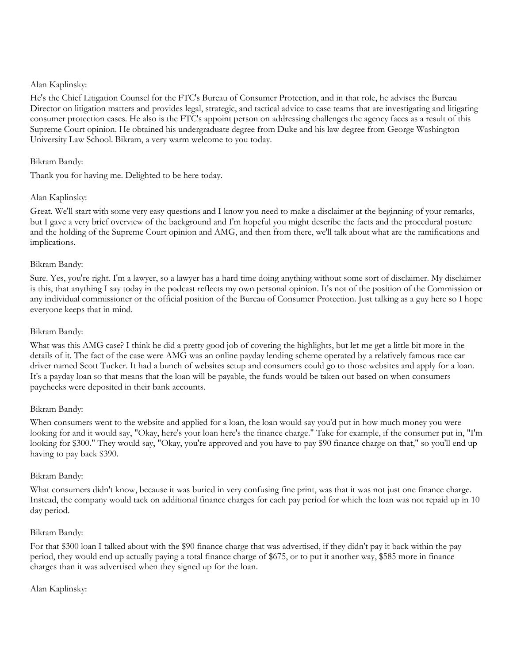## Alan Kaplinsky:

He's the Chief Litigation Counsel for the FTC's Bureau of Consumer Protection, and in that role, he advises the Bureau Director on litigation matters and provides legal, strategic, and tactical advice to case teams that are investigating and litigating consumer protection cases. He also is the FTC's appoint person on addressing challenges the agency faces as a result of this Supreme Court opinion. He obtained his undergraduate degree from Duke and his law degree from George Washington University Law School. Bikram, a very warm welcome to you today.

## Bikram Bandy:

Thank you for having me. Delighted to be here today.

## Alan Kaplinsky:

Great. We'll start with some very easy questions and I know you need to make a disclaimer at the beginning of your remarks, but I gave a very brief overview of the background and I'm hopeful you might describe the facts and the procedural posture and the holding of the Supreme Court opinion and AMG, and then from there, we'll talk about what are the ramifications and implications.

## Bikram Bandy:

Sure. Yes, you're right. I'm a lawyer, so a lawyer has a hard time doing anything without some sort of disclaimer. My disclaimer is this, that anything I say today in the podcast reflects my own personal opinion. It's not of the position of the Commission or any individual commissioner or the official position of the Bureau of Consumer Protection. Just talking as a guy here so I hope everyone keeps that in mind.

## Bikram Bandy:

What was this AMG case? I think he did a pretty good job of covering the highlights, but let me get a little bit more in the details of it. The fact of the case were AMG was an online payday lending scheme operated by a relatively famous race car driver named Scott Tucker. It had a bunch of websites setup and consumers could go to those websites and apply for a loan. It's a payday loan so that means that the loan will be payable, the funds would be taken out based on when consumers paychecks were deposited in their bank accounts.

## Bikram Bandy:

When consumers went to the website and applied for a loan, the loan would say you'd put in how much money you were looking for and it would say, "Okay, here's your loan here's the finance charge." Take for example, if the consumer put in, "I'm looking for \$300." They would say, "Okay, you're approved and you have to pay \$90 finance charge on that," so you'll end up having to pay back \$390.

#### Bikram Bandy:

What consumers didn't know, because it was buried in very confusing fine print, was that it was not just one finance charge. Instead, the company would tack on additional finance charges for each pay period for which the loan was not repaid up in 10 day period.

## Bikram Bandy:

For that \$300 loan I talked about with the \$90 finance charge that was advertised, if they didn't pay it back within the pay period, they would end up actually paying a total finance charge of \$675, or to put it another way, \$585 more in finance charges than it was advertised when they signed up for the loan.

#### Alan Kaplinsky: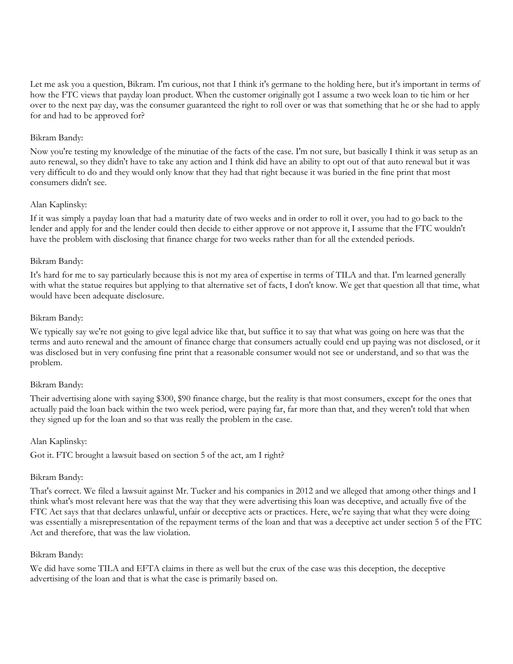Let me ask you a question, Bikram. I'm curious, not that I think it's germane to the holding here, but it's important in terms of how the FTC views that payday loan product. When the customer originally got I assume a two week loan to tie him or her over to the next pay day, was the consumer guaranteed the right to roll over or was that something that he or she had to apply for and had to be approved for?

## Bikram Bandy:

Now you're testing my knowledge of the minutiae of the facts of the case. I'm not sure, but basically I think it was setup as an auto renewal, so they didn't have to take any action and I think did have an ability to opt out of that auto renewal but it was very difficult to do and they would only know that they had that right because it was buried in the fine print that most consumers didn't see.

## Alan Kaplinsky:

If it was simply a payday loan that had a maturity date of two weeks and in order to roll it over, you had to go back to the lender and apply for and the lender could then decide to either approve or not approve it, I assume that the FTC wouldn't have the problem with disclosing that finance charge for two weeks rather than for all the extended periods.

## Bikram Bandy:

It's hard for me to say particularly because this is not my area of expertise in terms of TILA and that. I'm learned generally with what the statue requires but applying to that alternative set of facts, I don't know. We get that question all that time, what would have been adequate disclosure.

## Bikram Bandy:

We typically say we're not going to give legal advice like that, but suffice it to say that what was going on here was that the terms and auto renewal and the amount of finance charge that consumers actually could end up paying was not disclosed, or it was disclosed but in very confusing fine print that a reasonable consumer would not see or understand, and so that was the problem.

## Bikram Bandy:

Their advertising alone with saying \$300, \$90 finance charge, but the reality is that most consumers, except for the ones that actually paid the loan back within the two week period, were paying far, far more than that, and they weren't told that when they signed up for the loan and so that was really the problem in the case.

#### Alan Kaplinsky:

Got it. FTC brought a lawsuit based on section 5 of the act, am I right?

#### Bikram Bandy:

That's correct. We filed a lawsuit against Mr. Tucker and his companies in 2012 and we alleged that among other things and I think what's most relevant here was that the way that they were advertising this loan was deceptive, and actually five of the FTC Act says that that declares unlawful, unfair or deceptive acts or practices. Here, we're saying that what they were doing was essentially a misrepresentation of the repayment terms of the loan and that was a deceptive act under section 5 of the FTC Act and therefore, that was the law violation.

#### Bikram Bandy:

We did have some TILA and EFTA claims in there as well but the crux of the case was this deception, the deceptive advertising of the loan and that is what the case is primarily based on.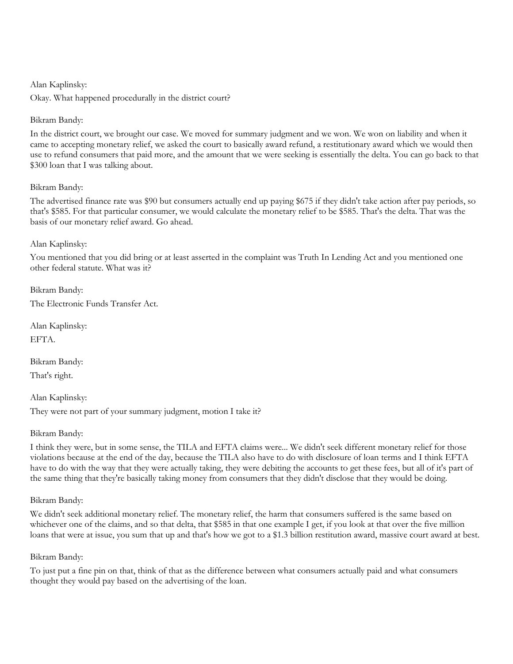#### Alan Kaplinsky:

Okay. What happened procedurally in the district court?

## Bikram Bandy:

In the district court, we brought our case. We moved for summary judgment and we won. We won on liability and when it came to accepting monetary relief, we asked the court to basically award refund, a restitutionary award which we would then use to refund consumers that paid more, and the amount that we were seeking is essentially the delta. You can go back to that \$300 loan that I was talking about.

## Bikram Bandy:

The advertised finance rate was \$90 but consumers actually end up paying \$675 if they didn't take action after pay periods, so that's \$585. For that particular consumer, we would calculate the monetary relief to be \$585. That's the delta. That was the basis of our monetary relief award. Go ahead.

## Alan Kaplinsky:

You mentioned that you did bring or at least asserted in the complaint was Truth In Lending Act and you mentioned one other federal statute. What was it?

Bikram Bandy: The Electronic Funds Transfer Act.

Alan Kaplinsky: **EFTA** 

Bikram Bandy: That's right.

Alan Kaplinsky: They were not part of your summary judgment, motion I take it?

## Bikram Bandy:

I think they were, but in some sense, the TILA and EFTA claims were... We didn't seek different monetary relief for those violations because at the end of the day, because the TILA also have to do with disclosure of loan terms and I think EFTA have to do with the way that they were actually taking, they were debiting the accounts to get these fees, but all of it's part of the same thing that they're basically taking money from consumers that they didn't disclose that they would be doing.

#### Bikram Bandy:

We didn't seek additional monetary relief. The monetary relief, the harm that consumers suffered is the same based on whichever one of the claims, and so that delta, that \$585 in that one example I get, if you look at that over the five million loans that were at issue, you sum that up and that's how we got to a \$1.3 billion restitution award, massive court award at best.

## Bikram Bandy:

To just put a fine pin on that, think of that as the difference between what consumers actually paid and what consumers thought they would pay based on the advertising of the loan.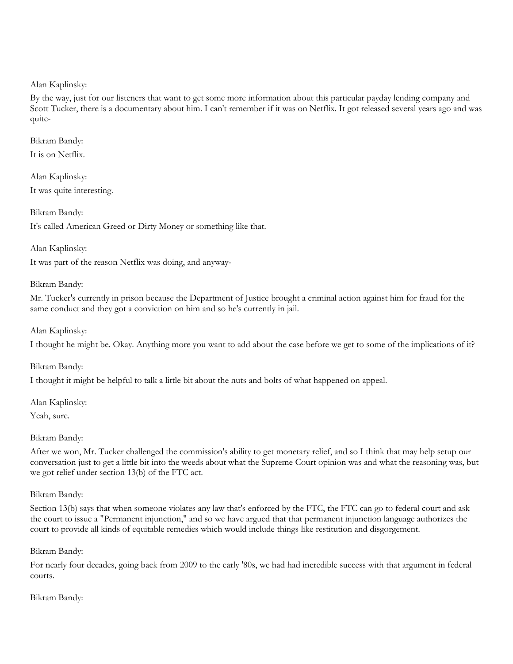Alan Kaplinsky:

By the way, just for our listeners that want to get some more information about this particular payday lending company and Scott Tucker, there is a documentary about him. I can't remember if it was on Netflix. It got released several years ago and was quite-

Bikram Bandy: It is on Netflix.

Alan Kaplinsky: It was quite interesting.

Bikram Bandy: It's called American Greed or Dirty Money or something like that.

Alan Kaplinsky:

It was part of the reason Netflix was doing, and anyway-

## Bikram Bandy:

Mr. Tucker's currently in prison because the Department of Justice brought a criminal action against him for fraud for the same conduct and they got a conviction on him and so he's currently in jail.

Alan Kaplinsky:

I thought he might be. Okay. Anything more you want to add about the case before we get to some of the implications of it?

Bikram Bandy:

I thought it might be helpful to talk a little bit about the nuts and bolts of what happened on appeal.

Alan Kaplinsky:

Yeah, sure.

Bikram Bandy:

After we won, Mr. Tucker challenged the commission's ability to get monetary relief, and so I think that may help setup our conversation just to get a little bit into the weeds about what the Supreme Court opinion was and what the reasoning was, but we got relief under section 13(b) of the FTC act.

Bikram Bandy:

Section 13(b) says that when someone violates any law that's enforced by the FTC, the FTC can go to federal court and ask the court to issue a "Permanent injunction," and so we have argued that that permanent injunction language authorizes the court to provide all kinds of equitable remedies which would include things like restitution and disgorgement.

Bikram Bandy:

For nearly four decades, going back from 2009 to the early '80s, we had had incredible success with that argument in federal courts.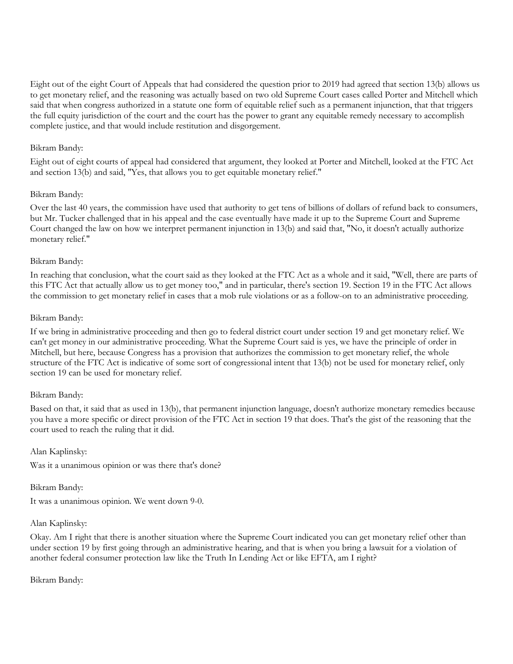Eight out of the eight Court of Appeals that had considered the question prior to 2019 had agreed that section 13(b) allows us to get monetary relief, and the reasoning was actually based on two old Supreme Court cases called Porter and Mitchell which said that when congress authorized in a statute one form of equitable relief such as a permanent injunction, that that triggers the full equity jurisdiction of the court and the court has the power to grant any equitable remedy necessary to accomplish complete justice, and that would include restitution and disgorgement.

## Bikram Bandy:

Eight out of eight courts of appeal had considered that argument, they looked at Porter and Mitchell, looked at the FTC Act and section 13(b) and said, "Yes, that allows you to get equitable monetary relief."

#### Bikram Bandy:

Over the last 40 years, the commission have used that authority to get tens of billions of dollars of refund back to consumers, but Mr. Tucker challenged that in his appeal and the case eventually have made it up to the Supreme Court and Supreme Court changed the law on how we interpret permanent injunction in 13(b) and said that, "No, it doesn't actually authorize monetary relief."

## Bikram Bandy:

In reaching that conclusion, what the court said as they looked at the FTC Act as a whole and it said, "Well, there are parts of this FTC Act that actually allow us to get money too," and in particular, there's section 19. Section 19 in the FTC Act allows the commission to get monetary relief in cases that a mob rule violations or as a follow-on to an administrative proceeding.

## Bikram Bandy:

If we bring in administrative proceeding and then go to federal district court under section 19 and get monetary relief. We can't get money in our administrative proceeding. What the Supreme Court said is yes, we have the principle of order in Mitchell, but here, because Congress has a provision that authorizes the commission to get monetary relief, the whole structure of the FTC Act is indicative of some sort of congressional intent that 13(b) not be used for monetary relief, only section 19 can be used for monetary relief.

#### Bikram Bandy:

Based on that, it said that as used in 13(b), that permanent injunction language, doesn't authorize monetary remedies because you have a more specific or direct provision of the FTC Act in section 19 that does. That's the gist of the reasoning that the court used to reach the ruling that it did.

#### Alan Kaplinsky:

Was it a unanimous opinion or was there that's done?

#### Bikram Bandy:

It was a unanimous opinion. We went down 9-0.

#### Alan Kaplinsky:

Okay. Am I right that there is another situation where the Supreme Court indicated you can get monetary relief other than under section 19 by first going through an administrative hearing, and that is when you bring a lawsuit for a violation of another federal consumer protection law like the Truth In Lending Act or like EFTA, am I right?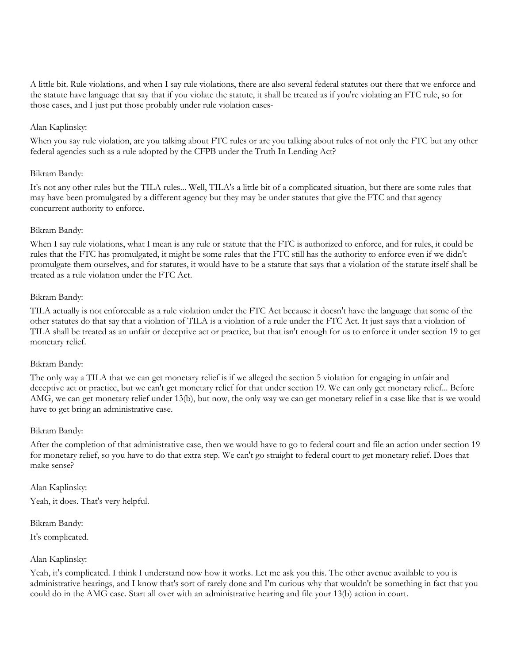A little bit. Rule violations, and when I say rule violations, there are also several federal statutes out there that we enforce and the statute have language that say that if you violate the statute, it shall be treated as if you're violating an FTC rule, so for those cases, and I just put those probably under rule violation cases-

## Alan Kaplinsky:

When you say rule violation, are you talking about FTC rules or are you talking about rules of not only the FTC but any other federal agencies such as a rule adopted by the CFPB under the Truth In Lending Act?

#### Bikram Bandy:

It's not any other rules but the TILA rules... Well, TILA's a little bit of a complicated situation, but there are some rules that may have been promulgated by a different agency but they may be under statutes that give the FTC and that agency concurrent authority to enforce.

## Bikram Bandy:

When I say rule violations, what I mean is any rule or statute that the FTC is authorized to enforce, and for rules, it could be rules that the FTC has promulgated, it might be some rules that the FTC still has the authority to enforce even if we didn't promulgate them ourselves, and for statutes, it would have to be a statute that says that a violation of the statute itself shall be treated as a rule violation under the FTC Act.

## Bikram Bandy:

TILA actually is not enforceable as a rule violation under the FTC Act because it doesn't have the language that some of the other statutes do that say that a violation of TILA is a violation of a rule under the FTC Act. It just says that a violation of TILA shall be treated as an unfair or deceptive act or practice, but that isn't enough for us to enforce it under section 19 to get monetary relief.

#### Bikram Bandy:

The only way a TILA that we can get monetary relief is if we alleged the section 5 violation for engaging in unfair and deceptive act or practice, but we can't get monetary relief for that under section 19. We can only get monetary relief... Before AMG, we can get monetary relief under 13(b), but now, the only way we can get monetary relief in a case like that is we would have to get bring an administrative case.

#### Bikram Bandy:

After the completion of that administrative case, then we would have to go to federal court and file an action under section 19 for monetary relief, so you have to do that extra step. We can't go straight to federal court to get monetary relief. Does that make sense?

Alan Kaplinsky:

Yeah, it does. That's very helpful.

Bikram Bandy:

It's complicated.

## Alan Kaplinsky:

Yeah, it's complicated. I think I understand now how it works. Let me ask you this. The other avenue available to you is administrative hearings, and I know that's sort of rarely done and I'm curious why that wouldn't be something in fact that you could do in the AMG case. Start all over with an administrative hearing and file your 13(b) action in court.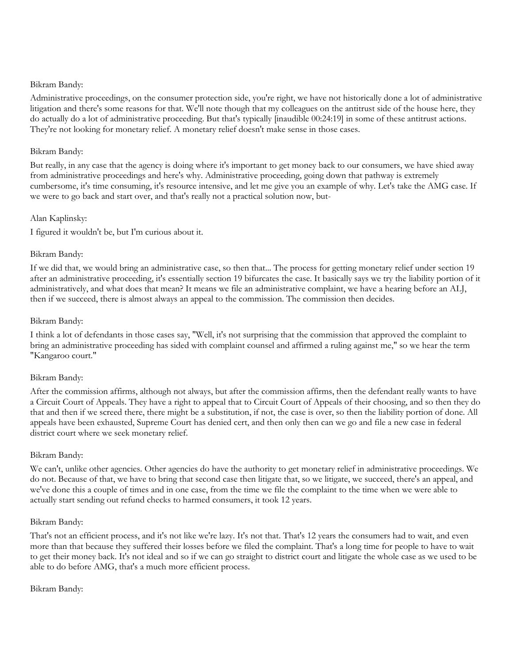## Bikram Bandy:

Administrative proceedings, on the consumer protection side, you're right, we have not historically done a lot of administrative litigation and there's some reasons for that. We'll note though that my colleagues on the antitrust side of the house here, they do actually do a lot of administrative proceeding. But that's typically [inaudible 00:24:19] in some of these antitrust actions. They're not looking for monetary relief. A monetary relief doesn't make sense in those cases.

## Bikram Bandy:

But really, in any case that the agency is doing where it's important to get money back to our consumers, we have shied away from administrative proceedings and here's why. Administrative proceeding, going down that pathway is extremely cumbersome, it's time consuming, it's resource intensive, and let me give you an example of why. Let's take the AMG case. If we were to go back and start over, and that's really not a practical solution now, but-

## Alan Kaplinsky:

I figured it wouldn't be, but I'm curious about it.

## Bikram Bandy:

If we did that, we would bring an administrative case, so then that... The process for getting monetary relief under section 19 after an administrative proceeding, it's essentially section 19 bifurcates the case. It basically says we try the liability portion of it administratively, and what does that mean? It means we file an administrative complaint, we have a hearing before an ALJ, then if we succeed, there is almost always an appeal to the commission. The commission then decides.

## Bikram Bandy:

I think a lot of defendants in those cases say, "Well, it's not surprising that the commission that approved the complaint to bring an administrative proceeding has sided with complaint counsel and affirmed a ruling against me," so we hear the term "Kangaroo court."

## Bikram Bandy:

After the commission affirms, although not always, but after the commission affirms, then the defendant really wants to have a Circuit Court of Appeals. They have a right to appeal that to Circuit Court of Appeals of their choosing, and so then they do that and then if we screed there, there might be a substitution, if not, the case is over, so then the liability portion of done. All appeals have been exhausted, Supreme Court has denied cert, and then only then can we go and file a new case in federal district court where we seek monetary relief.

## Bikram Bandy:

We can't, unlike other agencies. Other agencies do have the authority to get monetary relief in administrative proceedings. We do not. Because of that, we have to bring that second case then litigate that, so we litigate, we succeed, there's an appeal, and we've done this a couple of times and in one case, from the time we file the complaint to the time when we were able to actually start sending out refund checks to harmed consumers, it took 12 years.

#### Bikram Bandy:

That's not an efficient process, and it's not like we're lazy. It's not that. That's 12 years the consumers had to wait, and even more than that because they suffered their losses before we filed the complaint. That's a long time for people to have to wait to get their money back. It's not ideal and so if we can go straight to district court and litigate the whole case as we used to be able to do before AMG, that's a much more efficient process.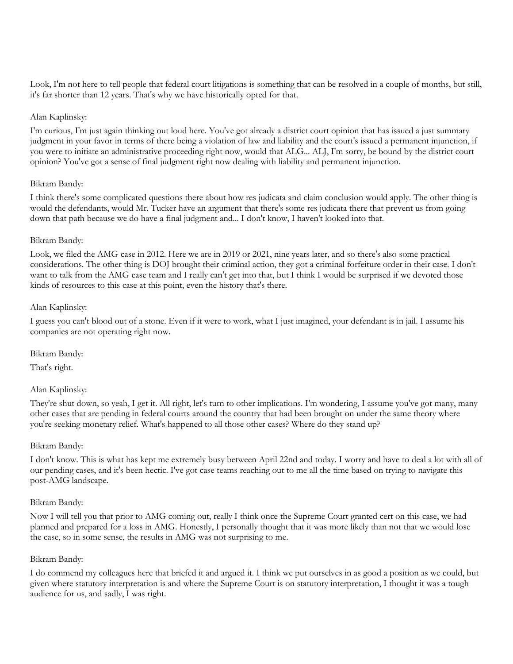Look, I'm not here to tell people that federal court litigations is something that can be resolved in a couple of months, but still, it's far shorter than 12 years. That's why we have historically opted for that.

## Alan Kaplinsky:

I'm curious, I'm just again thinking out loud here. You've got already a district court opinion that has issued a just summary judgment in your favor in terms of there being a violation of law and liability and the court's issued a permanent injunction, if you were to initiate an administrative proceeding right now, would that ALG... ALJ, I'm sorry, be bound by the district court opinion? You've got a sense of final judgment right now dealing with liability and permanent injunction.

## Bikram Bandy:

I think there's some complicated questions there about how res judicata and claim conclusion would apply. The other thing is would the defendants, would Mr. Tucker have an argument that there's some res judicata there that prevent us from going down that path because we do have a final judgment and... I don't know, I haven't looked into that.

## Bikram Bandy:

Look, we filed the AMG case in 2012. Here we are in 2019 or 2021, nine years later, and so there's also some practical considerations. The other thing is DOJ brought their criminal action, they got a criminal forfeiture order in their case. I don't want to talk from the AMG case team and I really can't get into that, but I think I would be surprised if we devoted those kinds of resources to this case at this point, even the history that's there.

## Alan Kaplinsky:

I guess you can't blood out of a stone. Even if it were to work, what I just imagined, your defendant is in jail. I assume his companies are not operating right now.

Bikram Bandy:

That's right.

## Alan Kaplinsky:

They're shut down, so yeah, I get it. All right, let's turn to other implications. I'm wondering, I assume you've got many, many other cases that are pending in federal courts around the country that had been brought on under the same theory where you're seeking monetary relief. What's happened to all those other cases? Where do they stand up?

#### Bikram Bandy:

I don't know. This is what has kept me extremely busy between April 22nd and today. I worry and have to deal a lot with all of our pending cases, and it's been hectic. I've got case teams reaching out to me all the time based on trying to navigate this post-AMG landscape.

#### Bikram Bandy:

Now I will tell you that prior to AMG coming out, really I think once the Supreme Court granted cert on this case, we had planned and prepared for a loss in AMG. Honestly, I personally thought that it was more likely than not that we would lose the case, so in some sense, the results in AMG was not surprising to me.

#### Bikram Bandy:

I do commend my colleagues here that briefed it and argued it. I think we put ourselves in as good a position as we could, but given where statutory interpretation is and where the Supreme Court is on statutory interpretation, I thought it was a tough audience for us, and sadly, I was right.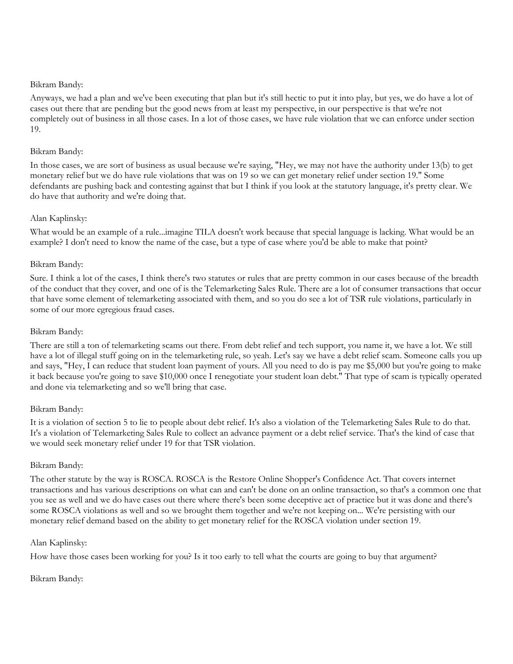#### Bikram Bandy:

Anyways, we had a plan and we've been executing that plan but it's still hectic to put it into play, but yes, we do have a lot of cases out there that are pending but the good news from at least my perspective, in our perspective is that we're not completely out of business in all those cases. In a lot of those cases, we have rule violation that we can enforce under section 19.

## Bikram Bandy:

In those cases, we are sort of business as usual because we're saying, "Hey, we may not have the authority under 13(b) to get monetary relief but we do have rule violations that was on 19 so we can get monetary relief under section 19." Some defendants are pushing back and contesting against that but I think if you look at the statutory language, it's pretty clear. We do have that authority and we're doing that.

## Alan Kaplinsky:

What would be an example of a rule...imagine TILA doesn't work because that special language is lacking. What would be an example? I don't need to know the name of the case, but a type of case where you'd be able to make that point?

## Bikram Bandy:

Sure. I think a lot of the cases, I think there's two statutes or rules that are pretty common in our cases because of the breadth of the conduct that they cover, and one of is the Telemarketing Sales Rule. There are a lot of consumer transactions that occur that have some element of telemarketing associated with them, and so you do see a lot of TSR rule violations, particularly in some of our more egregious fraud cases.

## Bikram Bandy:

There are still a ton of telemarketing scams out there. From debt relief and tech support, you name it, we have a lot. We still have a lot of illegal stuff going on in the telemarketing rule, so yeah. Let's say we have a debt relief scam. Someone calls you up and says, "Hey, I can reduce that student loan payment of yours. All you need to do is pay me \$5,000 but you're going to make it back because you're going to save \$10,000 once I renegotiate your student loan debt." That type of scam is typically operated and done via telemarketing and so we'll bring that case.

## Bikram Bandy:

It is a violation of section 5 to lie to people about debt relief. It's also a violation of the Telemarketing Sales Rule to do that. It's a violation of Telemarketing Sales Rule to collect an advance payment or a debt relief service. That's the kind of case that we would seek monetary relief under 19 for that TSR violation.

#### Bikram Bandy:

The other statute by the way is ROSCA. ROSCA is the Restore Online Shopper's Confidence Act. That covers internet transactions and has various descriptions on what can and can't be done on an online transaction, so that's a common one that you see as well and we do have cases out there where there's been some deceptive act of practice but it was done and there's some ROSCA violations as well and so we brought them together and we're not keeping on... We're persisting with our monetary relief demand based on the ability to get monetary relief for the ROSCA violation under section 19.

#### Alan Kaplinsky:

How have those cases been working for you? Is it too early to tell what the courts are going to buy that argument?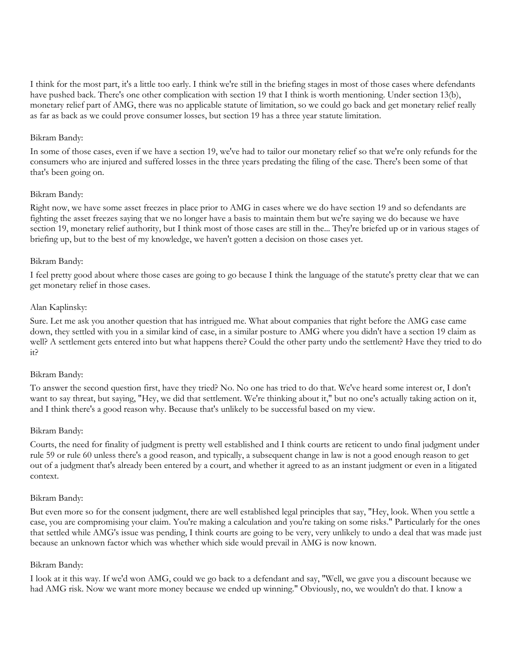I think for the most part, it's a little too early. I think we're still in the briefing stages in most of those cases where defendants have pushed back. There's one other complication with section 19 that I think is worth mentioning. Under section 13(b), monetary relief part of AMG, there was no applicable statute of limitation, so we could go back and get monetary relief really as far as back as we could prove consumer losses, but section 19 has a three year statute limitation.

#### Bikram Bandy:

In some of those cases, even if we have a section 19, we've had to tailor our monetary relief so that we're only refunds for the consumers who are injured and suffered losses in the three years predating the filing of the case. There's been some of that that's been going on.

## Bikram Bandy:

Right now, we have some asset freezes in place prior to AMG in cases where we do have section 19 and so defendants are fighting the asset freezes saying that we no longer have a basis to maintain them but we're saying we do because we have section 19, monetary relief authority, but I think most of those cases are still in the... They're briefed up or in various stages of briefing up, but to the best of my knowledge, we haven't gotten a decision on those cases yet.

## Bikram Bandy:

I feel pretty good about where those cases are going to go because I think the language of the statute's pretty clear that we can get monetary relief in those cases.

## Alan Kaplinsky:

Sure. Let me ask you another question that has intrigued me. What about companies that right before the AMG case came down, they settled with you in a similar kind of case, in a similar posture to AMG where you didn't have a section 19 claim as well? A settlement gets entered into but what happens there? Could the other party undo the settlement? Have they tried to do it?

#### Bikram Bandy:

To answer the second question first, have they tried? No. No one has tried to do that. We've heard some interest or, I don't want to say threat, but saying, "Hey, we did that settlement. We're thinking about it," but no one's actually taking action on it, and I think there's a good reason why. Because that's unlikely to be successful based on my view.

#### Bikram Bandy:

Courts, the need for finality of judgment is pretty well established and I think courts are reticent to undo final judgment under rule 59 or rule 60 unless there's a good reason, and typically, a subsequent change in law is not a good enough reason to get out of a judgment that's already been entered by a court, and whether it agreed to as an instant judgment or even in a litigated context.

#### Bikram Bandy:

But even more so for the consent judgment, there are well established legal principles that say, "Hey, look. When you settle a case, you are compromising your claim. You're making a calculation and you're taking on some risks." Particularly for the ones that settled while AMG's issue was pending, I think courts are going to be very, very unlikely to undo a deal that was made just because an unknown factor which was whether which side would prevail in AMG is now known.

#### Bikram Bandy:

I look at it this way. If we'd won AMG, could we go back to a defendant and say, "Well, we gave you a discount because we had AMG risk. Now we want more money because we ended up winning." Obviously, no, we wouldn't do that. I know a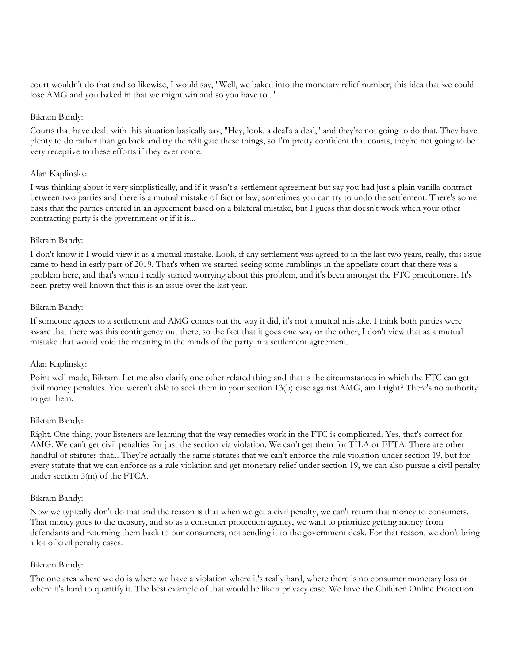court wouldn't do that and so likewise, I would say, "Well, we baked into the monetary relief number, this idea that we could lose AMG and you baked in that we might win and so you have to..."

#### Bikram Bandy:

Courts that have dealt with this situation basically say, "Hey, look, a deal's a deal," and they're not going to do that. They have plenty to do rather than go back and try the relitigate these things, so I'm pretty confident that courts, they're not going to be very receptive to these efforts if they ever come.

## Alan Kaplinsky:

I was thinking about it very simplistically, and if it wasn't a settlement agreement but say you had just a plain vanilla contract between two parties and there is a mutual mistake of fact or law, sometimes you can try to undo the settlement. There's some basis that the parties entered in an agreement based on a bilateral mistake, but I guess that doesn't work when your other contracting party is the government or if it is...

## Bikram Bandy:

I don't know if I would view it as a mutual mistake. Look, if any settlement was agreed to in the last two years, really, this issue came to head in early part of 2019. That's when we started seeing some rumblings in the appellate court that there was a problem here, and that's when I really started worrying about this problem, and it's been amongst the FTC practitioners. It's been pretty well known that this is an issue over the last year.

## Bikram Bandy:

If someone agrees to a settlement and AMG comes out the way it did, it's not a mutual mistake. I think both parties were aware that there was this contingency out there, so the fact that it goes one way or the other, I don't view that as a mutual mistake that would void the meaning in the minds of the party in a settlement agreement.

## Alan Kaplinsky:

Point well made, Bikram. Let me also clarify one other related thing and that is the circumstances in which the FTC can get civil money penalties. You weren't able to seek them in your section 13(b) case against AMG, am I right? There's no authority to get them.

#### Bikram Bandy:

Right. One thing, your listeners are learning that the way remedies work in the FTC is complicated. Yes, that's correct for AMG. We can't get civil penalties for just the section via violation. We can't get them for TILA or EFTA. There are other handful of statutes that... They're actually the same statutes that we can't enforce the rule violation under section 19, but for every statute that we can enforce as a rule violation and get monetary relief under section 19, we can also pursue a civil penalty under section 5(m) of the FTCA.

#### Bikram Bandy:

Now we typically don't do that and the reason is that when we get a civil penalty, we can't return that money to consumers. That money goes to the treasury, and so as a consumer protection agency, we want to prioritize getting money from defendants and returning them back to our consumers, not sending it to the government desk. For that reason, we don't bring a lot of civil penalty cases.

#### Bikram Bandy:

The one area where we do is where we have a violation where it's really hard, where there is no consumer monetary loss or where it's hard to quantify it. The best example of that would be like a privacy case. We have the Children Online Protection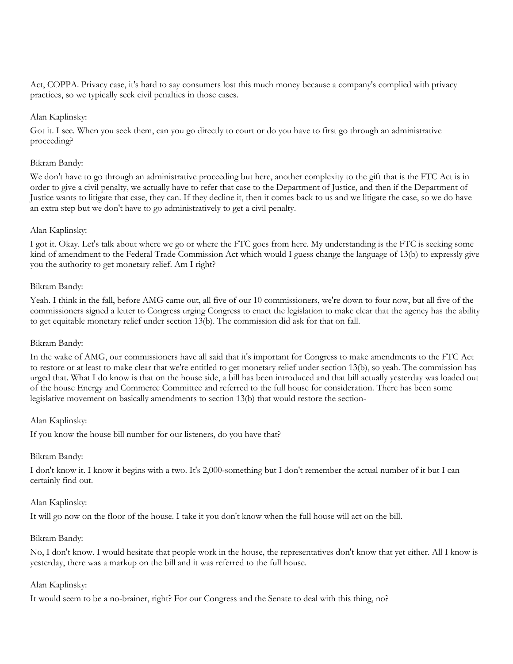Act, COPPA. Privacy case, it's hard to say consumers lost this much money because a company's complied with privacy practices, so we typically seek civil penalties in those cases.

## Alan Kaplinsky:

Got it. I see. When you seek them, can you go directly to court or do you have to first go through an administrative proceeding?

#### Bikram Bandy:

We don't have to go through an administrative proceeding but here, another complexity to the gift that is the FTC Act is in order to give a civil penalty, we actually have to refer that case to the Department of Justice, and then if the Department of Justice wants to litigate that case, they can. If they decline it, then it comes back to us and we litigate the case, so we do have an extra step but we don't have to go administratively to get a civil penalty.

## Alan Kaplinsky:

I got it. Okay. Let's talk about where we go or where the FTC goes from here. My understanding is the FTC is seeking some kind of amendment to the Federal Trade Commission Act which would I guess change the language of 13(b) to expressly give you the authority to get monetary relief. Am I right?

## Bikram Bandy:

Yeah. I think in the fall, before AMG came out, all five of our 10 commissioners, we're down to four now, but all five of the commissioners signed a letter to Congress urging Congress to enact the legislation to make clear that the agency has the ability to get equitable monetary relief under section 13(b). The commission did ask for that on fall.

#### Bikram Bandy:

In the wake of AMG, our commissioners have all said that it's important for Congress to make amendments to the FTC Act to restore or at least to make clear that we're entitled to get monetary relief under section 13(b), so yeah. The commission has urged that. What I do know is that on the house side, a bill has been introduced and that bill actually yesterday was loaded out of the house Energy and Commerce Committee and referred to the full house for consideration. There has been some legislative movement on basically amendments to section 13(b) that would restore the section-

#### Alan Kaplinsky:

If you know the house bill number for our listeners, do you have that?

#### Bikram Bandy:

I don't know it. I know it begins with a two. It's 2,000-something but I don't remember the actual number of it but I can certainly find out.

#### Alan Kaplinsky:

It will go now on the floor of the house. I take it you don't know when the full house will act on the bill.

#### Bikram Bandy:

No, I don't know. I would hesitate that people work in the house, the representatives don't know that yet either. All I know is yesterday, there was a markup on the bill and it was referred to the full house.

#### Alan Kaplinsky:

It would seem to be a no-brainer, right? For our Congress and the Senate to deal with this thing, no?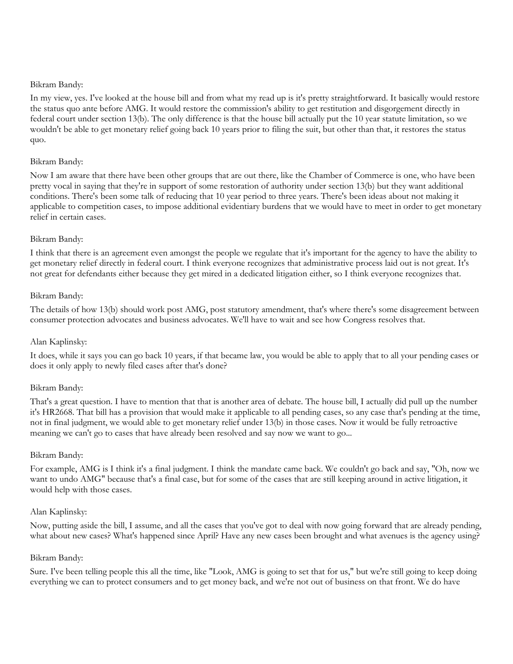## Bikram Bandy:

In my view, yes. I've looked at the house bill and from what my read up is it's pretty straightforward. It basically would restore the status quo ante before AMG. It would restore the commission's ability to get restitution and disgorgement directly in federal court under section 13(b). The only difference is that the house bill actually put the 10 year statute limitation, so we wouldn't be able to get monetary relief going back 10 years prior to filing the suit, but other than that, it restores the status quo.

## Bikram Bandy:

Now I am aware that there have been other groups that are out there, like the Chamber of Commerce is one, who have been pretty vocal in saying that they're in support of some restoration of authority under section 13(b) but they want additional conditions. There's been some talk of reducing that 10 year period to three years. There's been ideas about not making it applicable to competition cases, to impose additional evidentiary burdens that we would have to meet in order to get monetary relief in certain cases.

## Bikram Bandy:

I think that there is an agreement even amongst the people we regulate that it's important for the agency to have the ability to get monetary relief directly in federal court. I think everyone recognizes that administrative process laid out is not great. It's not great for defendants either because they get mired in a dedicated litigation either, so I think everyone recognizes that.

## Bikram Bandy:

The details of how 13(b) should work post AMG, post statutory amendment, that's where there's some disagreement between consumer protection advocates and business advocates. We'll have to wait and see how Congress resolves that.

## Alan Kaplinsky:

It does, while it says you can go back 10 years, if that became law, you would be able to apply that to all your pending cases or does it only apply to newly filed cases after that's done?

## Bikram Bandy:

That's a great question. I have to mention that that is another area of debate. The house bill, I actually did pull up the number it's HR2668. That bill has a provision that would make it applicable to all pending cases, so any case that's pending at the time, not in final judgment, we would able to get monetary relief under 13(b) in those cases. Now it would be fully retroactive meaning we can't go to cases that have already been resolved and say now we want to go...

## Bikram Bandy:

For example, AMG is I think it's a final judgment. I think the mandate came back. We couldn't go back and say, "Oh, now we want to undo AMG" because that's a final case, but for some of the cases that are still keeping around in active litigation, it would help with those cases.

#### Alan Kaplinsky:

Now, putting aside the bill, I assume, and all the cases that you've got to deal with now going forward that are already pending, what about new cases? What's happened since April? Have any new cases been brought and what avenues is the agency using?

#### Bikram Bandy:

Sure. I've been telling people this all the time, like "Look, AMG is going to set that for us," but we're still going to keep doing everything we can to protect consumers and to get money back, and we're not out of business on that front. We do have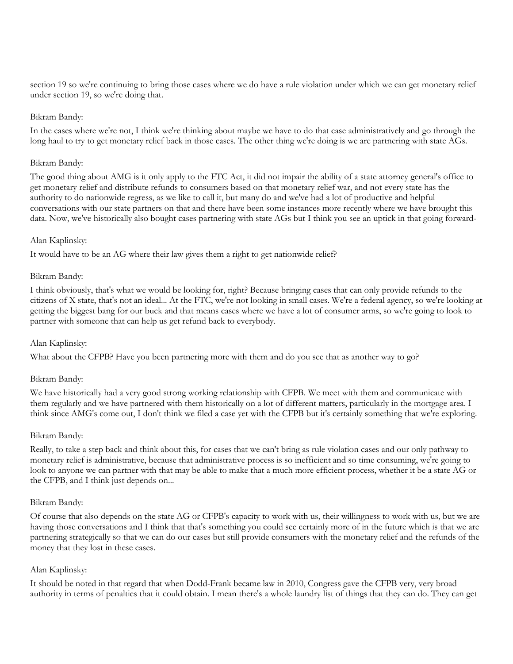section 19 so we're continuing to bring those cases where we do have a rule violation under which we can get monetary relief under section 19, so we're doing that.

#### Bikram Bandy:

In the cases where we're not, I think we're thinking about maybe we have to do that case administratively and go through the long haul to try to get monetary relief back in those cases. The other thing we're doing is we are partnering with state AGs.

#### Bikram Bandy:

The good thing about AMG is it only apply to the FTC Act, it did not impair the ability of a state attorney general's office to get monetary relief and distribute refunds to consumers based on that monetary relief war, and not every state has the authority to do nationwide regress, as we like to call it, but many do and we've had a lot of productive and helpful conversations with our state partners on that and there have been some instances more recently where we have brought this data. Now, we've historically also bought cases partnering with state AGs but I think you see an uptick in that going forward-

## Alan Kaplinsky:

It would have to be an AG where their law gives them a right to get nationwide relief?

## Bikram Bandy:

I think obviously, that's what we would be looking for, right? Because bringing cases that can only provide refunds to the citizens of X state, that's not an ideal... At the FTC, we're not looking in small cases. We're a federal agency, so we're looking at getting the biggest bang for our buck and that means cases where we have a lot of consumer arms, so we're going to look to partner with someone that can help us get refund back to everybody.

## Alan Kaplinsky:

What about the CFPB? Have you been partnering more with them and do you see that as another way to go?

#### Bikram Bandy:

We have historically had a very good strong working relationship with CFPB. We meet with them and communicate with them regularly and we have partnered with them historically on a lot of different matters, particularly in the mortgage area. I think since AMG's come out, I don't think we filed a case yet with the CFPB but it's certainly something that we're exploring.

#### Bikram Bandy:

Really, to take a step back and think about this, for cases that we can't bring as rule violation cases and our only pathway to monetary relief is administrative, because that administrative process is so inefficient and so time consuming, we're going to look to anyone we can partner with that may be able to make that a much more efficient process, whether it be a state AG or the CFPB, and I think just depends on...

#### Bikram Bandy:

Of course that also depends on the state AG or CFPB's capacity to work with us, their willingness to work with us, but we are having those conversations and I think that that's something you could see certainly more of in the future which is that we are partnering strategically so that we can do our cases but still provide consumers with the monetary relief and the refunds of the money that they lost in these cases.

## Alan Kaplinsky:

It should be noted in that regard that when Dodd-Frank became law in 2010, Congress gave the CFPB very, very broad authority in terms of penalties that it could obtain. I mean there's a whole laundry list of things that they can do. They can get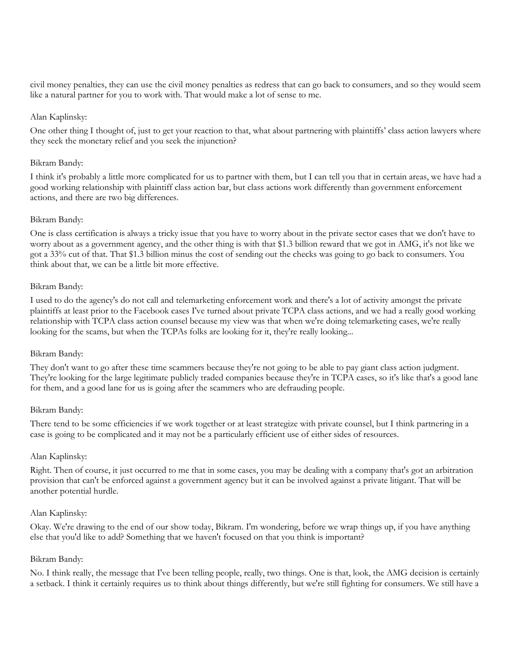civil money penalties, they can use the civil money penalties as redress that can go back to consumers, and so they would seem like a natural partner for you to work with. That would make a lot of sense to me.

## Alan Kaplinsky:

One other thing I thought of, just to get your reaction to that, what about partnering with plaintiffs' class action lawyers where they seek the monetary relief and you seek the injunction?

#### Bikram Bandy:

I think it's probably a little more complicated for us to partner with them, but I can tell you that in certain areas, we have had a good working relationship with plaintiff class action bar, but class actions work differently than government enforcement actions, and there are two big differences.

## Bikram Bandy:

One is class certification is always a tricky issue that you have to worry about in the private sector cases that we don't have to worry about as a government agency, and the other thing is with that \$1.3 billion reward that we got in AMG, it's not like we got a 33% cut of that. That \$1.3 billion minus the cost of sending out the checks was going to go back to consumers. You think about that, we can be a little bit more effective.

## Bikram Bandy:

I used to do the agency's do not call and telemarketing enforcement work and there's a lot of activity amongst the private plaintiffs at least prior to the Facebook cases I've turned about private TCPA class actions, and we had a really good working relationship with TCPA class action counsel because my view was that when we're doing telemarketing cases, we're really looking for the scams, but when the TCPAs folks are looking for it, they're really looking...

#### Bikram Bandy:

They don't want to go after these time scammers because they're not going to be able to pay giant class action judgment. They're looking for the large legitimate publicly traded companies because they're in TCPA cases, so it's like that's a good lane for them, and a good lane for us is going after the scammers who are defrauding people.

## Bikram Bandy:

There tend to be some efficiencies if we work together or at least strategize with private counsel, but I think partnering in a case is going to be complicated and it may not be a particularly efficient use of either sides of resources.

## Alan Kaplinsky:

Right. Then of course, it just occurred to me that in some cases, you may be dealing with a company that's got an arbitration provision that can't be enforced against a government agency but it can be involved against a private litigant. That will be another potential hurdle.

#### Alan Kaplinsky:

Okay. We're drawing to the end of our show today, Bikram. I'm wondering, before we wrap things up, if you have anything else that you'd like to add? Something that we haven't focused on that you think is important?

#### Bikram Bandy:

No. I think really, the message that I've been telling people, really, two things. One is that, look, the AMG decision is certainly a setback. I think it certainly requires us to think about things differently, but we're still fighting for consumers. We still have a